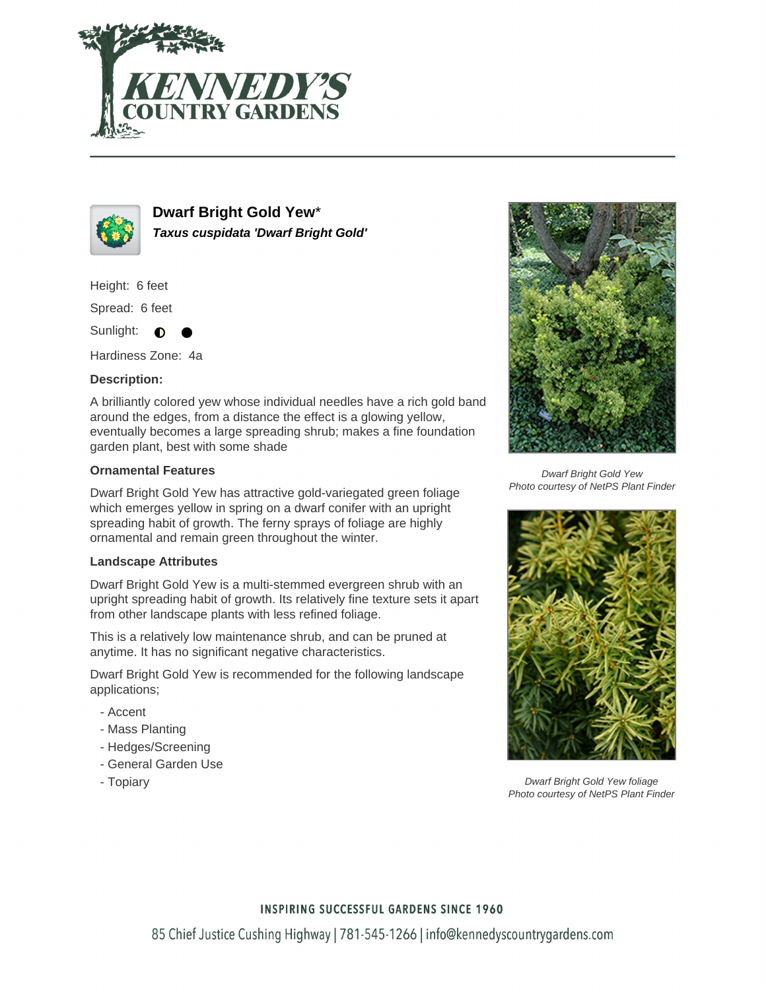



**Dwarf Bright Gold Yew**\* **Taxus cuspidata 'Dwarf Bright Gold'**

Height: 6 feet

Spread: 6 feet

Sunlight: ∩

Hardiness Zone: 4a

## **Description:**

A brilliantly colored yew whose individual needles have a rich gold band around the edges, from a distance the effect is a glowing yellow, eventually becomes a large spreading shrub; makes a fine foundation garden plant, best with some shade

### **Ornamental Features**

Dwarf Bright Gold Yew has attractive gold-variegated green foliage which emerges yellow in spring on a dwarf conifer with an upright spreading habit of growth. The ferny sprays of foliage are highly ornamental and remain green throughout the winter.

### **Landscape Attributes**

Dwarf Bright Gold Yew is a multi-stemmed evergreen shrub with an upright spreading habit of growth. Its relatively fine texture sets it apart from other landscape plants with less refined foliage.

This is a relatively low maintenance shrub, and can be pruned at anytime. It has no significant negative characteristics.

Dwarf Bright Gold Yew is recommended for the following landscape applications;

- Accent
- Mass Planting
- Hedges/Screening
- General Garden Use
- Topiary



Dwarf Bright Gold Yew Photo courtesy of NetPS Plant Finder



Dwarf Bright Gold Yew foliage Photo courtesy of NetPS Plant Finder

### **INSPIRING SUCCESSFUL GARDENS SINCE 1960**